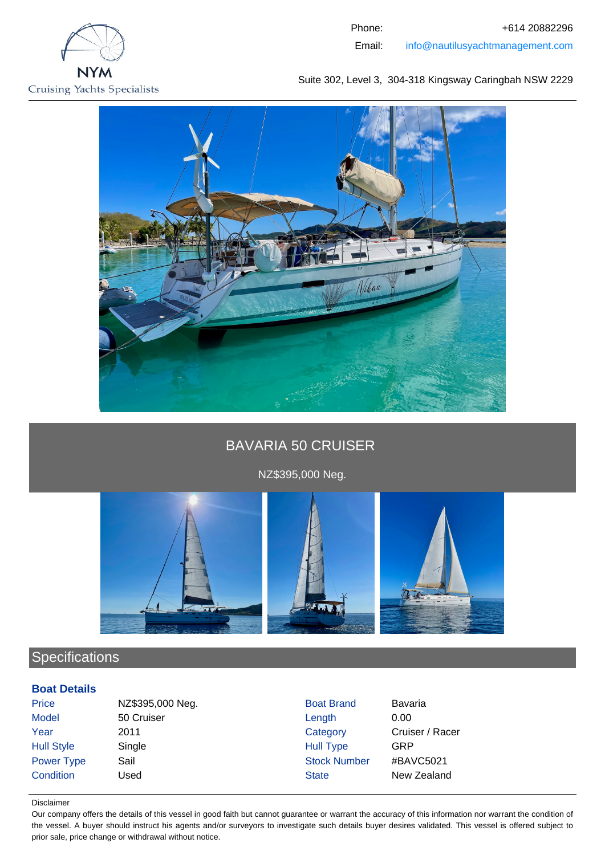



# BAVARIA 50 CRUISER

NZ\$395,000 Neg.



# **Specifications**

## **Boat Details**

Price NZ\$395,000 Neg. Boat Brand Bavaria Model 50 Cruiser **1988** Length 0.00 Year 2011 2011 Category Cruiser / Racer Hull Style Single Single Single Hull Type GRP Power Type Sail Sail Stock Number #BAVC5021 **Condition** Used State New Zealand

#### Disclaimer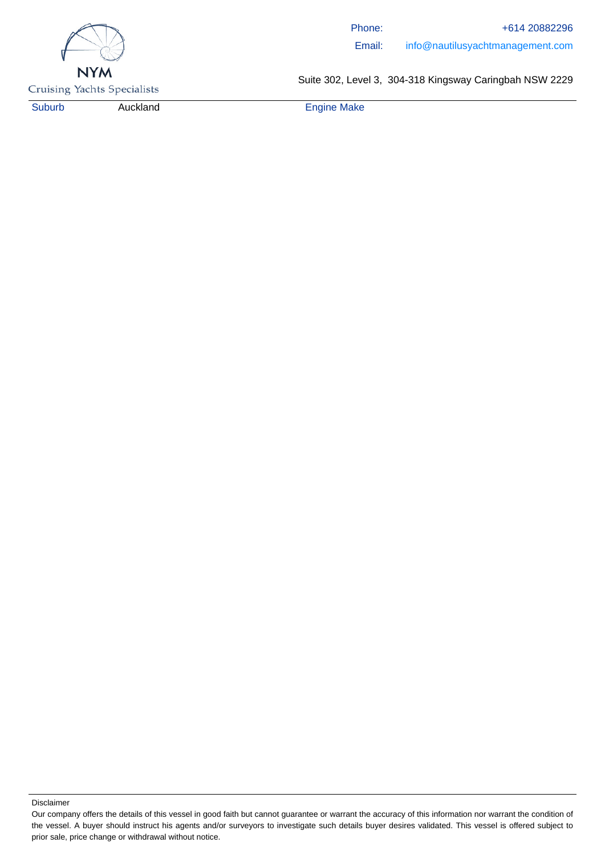

Phone: +614 20882296 Email: info@nautilusyachtmanagement.com

**Cruising Yachts Specialists** 

Suite 302, Level 3, 304-318 Kingsway Caringbah NSW 2229

Suburb Auckland **Engine Make** 

Our company offers the details of this vessel in good faith but cannot guarantee or warrant the accuracy of this information nor warrant the condition of the vessel. A buyer should instruct his agents and/or surveyors to investigate such details buyer desires validated. This vessel is offered subject to prior sale, price change or withdrawal without notice.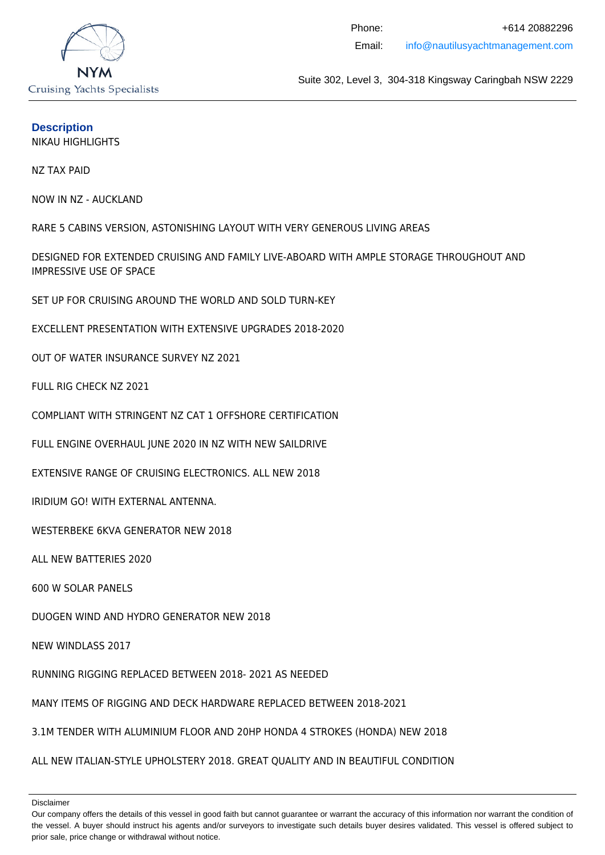

#### **Description**

NIKAU HIGHLIGHTS

NZ TAX PAID

NOW IN NZ - AUCKLAND

RARE 5 CABINS VERSION, ASTONISHING LAYOUT WITH VERY GENEROUS LIVING AREAS

DESIGNED FOR EXTENDED CRUISING AND FAMILY LIVE-ABOARD WITH AMPLE STORAGE THROUGHOUT AND IMPRESSIVE USE OF SPACE

SET UP FOR CRUISING AROUND THE WORLD AND SOLD TURN-KEY

EXCELLENT PRESENTATION WITH EXTENSIVE UPGRADES 2018-2020

OUT OF WATER INSURANCE SURVEY NZ 2021

FULL RIG CHECK NZ 2021

COMPLIANT WITH STRINGENT NZ CAT 1 OFFSHORE CERTIFICATION

FULL ENGINE OVERHAUL JUNE 2020 IN NZ WITH NEW SAILDRIVE

EXTENSIVE RANGE OF CRUISING ELECTRONICS. ALL NEW 2018

IRIDIUM GO! WITH EXTERNAL ANTENNA.

WESTERBEKE 6KVA GENERATOR NEW 2018

ALL NEW BATTERIES 2020

600 W SOLAR PANELS

DUOGEN WIND AND HYDRO GENERATOR NEW 2018

NEW WINDLASS 2017

RUNNING RIGGING REPLACED BETWEEN 2018- 2021 AS NEEDED

MANY ITEMS OF RIGGING AND DECK HARDWARE REPLACED BETWEEN 2018-2021

3.1M TENDER WITH ALUMINIUM FLOOR AND 20HP HONDA 4 STROKES (HONDA) NEW 2018

ALL NEW ITALIAN-STYLE UPHOLSTERY 2018. GREAT QUALITY AND IN BEAUTIFUL CONDITION

Our company offers the details of this vessel in good faith but cannot guarantee or warrant the accuracy of this information nor warrant the condition of the vessel. A buyer should instruct his agents and/or surveyors to investigate such details buyer desires validated. This vessel is offered subject to prior sale, price change or withdrawal without notice.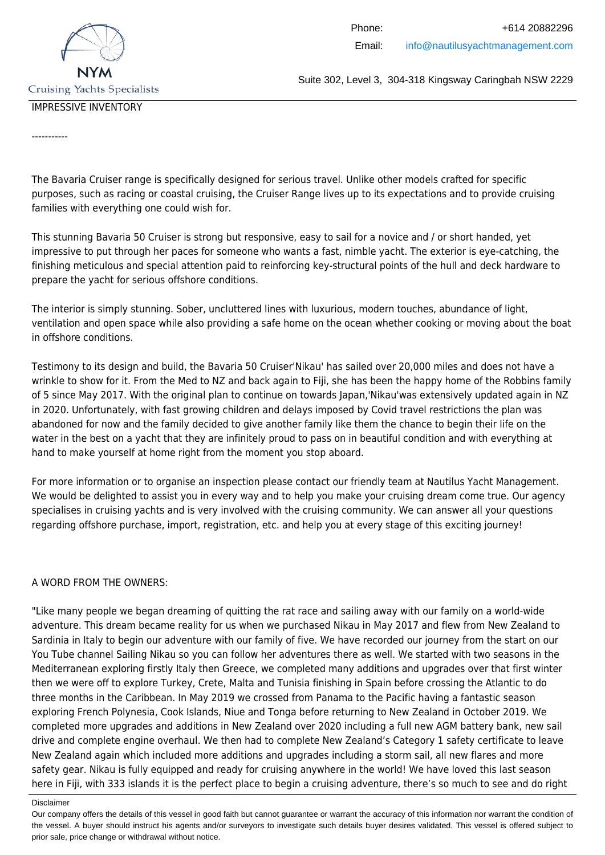

### IMPRESSIVE INVENTORY

-----------

The Bavaria Cruiser range is specifically designed for serious travel. Unlike other models crafted for specific purposes, such as racing or coastal cruising, the Cruiser Range lives up to its expectations and to provide cruising families with everything one could wish for.

This stunning Bavaria 50 Cruiser is strong but responsive, easy to sail for a novice and / or short handed, yet impressive to put through her paces for someone who wants a fast, nimble yacht. The exterior is eye-catching, the finishing meticulous and special attention paid to reinforcing key-structural points of the hull and deck hardware to prepare the yacht for serious offshore conditions.

The interior is simply stunning. Sober, uncluttered lines with luxurious, modern touches, abundance of light, ventilation and open space while also providing a safe home on the ocean whether cooking or moving about the boat in offshore conditions.

Testimony to its design and build, the Bavaria 50 Cruiser'Nikau' has sailed over 20,000 miles and does not have a wrinkle to show for it. From the Med to NZ and back again to Fiji, she has been the happy home of the Robbins family of 5 since May 2017. With the original plan to continue on towards Japan,'Nikau'was extensively updated again in NZ in 2020. Unfortunately, with fast growing children and delays imposed by Covid travel restrictions the plan was abandoned for now and the family decided to give another family like them the chance to begin their life on the water in the best on a yacht that they are infinitely proud to pass on in beautiful condition and with everything at hand to make yourself at home right from the moment you stop aboard.

For more information or to organise an inspection please contact our friendly team at Nautilus Yacht Management. We would be delighted to assist you in every way and to help you make your cruising dream come true. Our agency specialises in cruising yachts and is very involved with the cruising community. We can answer all your questions regarding offshore purchase, import, registration, etc. and help you at every stage of this exciting journey!

#### A WORD FROM THE OWNERS:

"Like many people we began dreaming of quitting the rat race and sailing away with our family on a world-wide adventure. This dream became reality for us when we purchased Nikau in May 2017 and flew from New Zealand to Sardinia in Italy to begin our adventure with our family of five. We have recorded our journey from the start on our You Tube channel Sailing Nikau so you can follow her adventures there as well. We started with two seasons in the Mediterranean exploring firstly Italy then Greece, we completed many additions and upgrades over that first winter then we were off to explore Turkey, Crete, Malta and Tunisia finishing in Spain before crossing the Atlantic to do three months in the Caribbean. In May 2019 we crossed from Panama to the Pacific having a fantastic season exploring French Polynesia, Cook Islands, Niue and Tonga before returning to New Zealand in October 2019. We completed more upgrades and additions in New Zealand over 2020 including a full new AGM battery bank, new sail drive and complete engine overhaul. We then had to complete New Zealand's Category 1 safety certificate to leave New Zealand again which included more additions and upgrades including a storm sail, all new flares and more safety gear. Nikau is fully equipped and ready for cruising anywhere in the world! We have loved this last season here in Fiji, with 333 islands it is the perfect place to begin a cruising adventure, there's so much to see and do right

Our company offers the details of this vessel in good faith but cannot guarantee or warrant the accuracy of this information nor warrant the condition of the vessel. A buyer should instruct his agents and/or surveyors to investigate such details buyer desires validated. This vessel is offered subject to prior sale, price change or withdrawal without notice.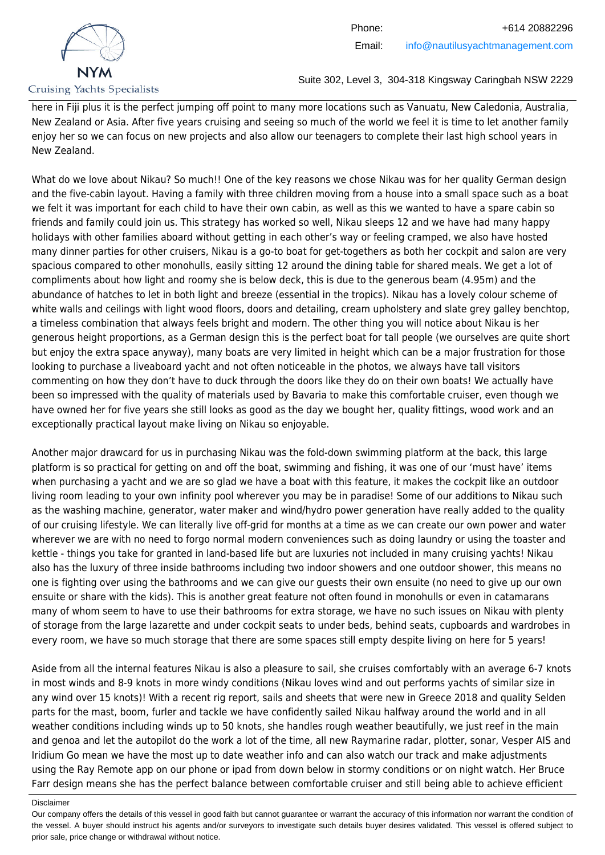

here in Fiji plus it is the perfect jumping off point to many more locations such as Vanuatu, New Caledonia, Australia, New Zealand or Asia. After five years cruising and seeing so much of the world we feel it is time to let another family enjoy her so we can focus on new projects and also allow our teenagers to complete their last high school years in New Zealand.

What do we love about Nikau? So much!! One of the key reasons we chose Nikau was for her quality German design and the five-cabin layout. Having a family with three children moving from a house into a small space such as a boat we felt it was important for each child to have their own cabin, as well as this we wanted to have a spare cabin so friends and family could join us. This strategy has worked so well, Nikau sleeps 12 and we have had many happy holidays with other families aboard without getting in each other's way or feeling cramped, we also have hosted many dinner parties for other cruisers, Nikau is a go-to boat for get-togethers as both her cockpit and salon are very spacious compared to other monohulls, easily sitting 12 around the dining table for shared meals. We get a lot of compliments about how light and roomy she is below deck, this is due to the generous beam (4.95m) and the abundance of hatches to let in both light and breeze (essential in the tropics). Nikau has a lovely colour scheme of white walls and ceilings with light wood floors, doors and detailing, cream upholstery and slate grey galley benchtop, a timeless combination that always feels bright and modern. The other thing you will notice about Nikau is her generous height proportions, as a German design this is the perfect boat for tall people (we ourselves are quite short but enjoy the extra space anyway), many boats are very limited in height which can be a major frustration for those looking to purchase a liveaboard yacht and not often noticeable in the photos, we always have tall visitors commenting on how they don't have to duck through the doors like they do on their own boats! We actually have been so impressed with the quality of materials used by Bavaria to make this comfortable cruiser, even though we have owned her for five years she still looks as good as the day we bought her, quality fittings, wood work and an exceptionally practical layout make living on Nikau so enjoyable.

Another major drawcard for us in purchasing Nikau was the fold-down swimming platform at the back, this large platform is so practical for getting on and off the boat, swimming and fishing, it was one of our 'must have' items when purchasing a yacht and we are so glad we have a boat with this feature, it makes the cockpit like an outdoor living room leading to your own infinity pool wherever you may be in paradise! Some of our additions to Nikau such as the washing machine, generator, water maker and wind/hydro power generation have really added to the quality of our cruising lifestyle. We can literally live off-grid for months at a time as we can create our own power and water wherever we are with no need to forgo normal modern conveniences such as doing laundry or using the toaster and kettle - things you take for granted in land-based life but are luxuries not included in many cruising yachts! Nikau also has the luxury of three inside bathrooms including two indoor showers and one outdoor shower, this means no one is fighting over using the bathrooms and we can give our guests their own ensuite (no need to give up our own ensuite or share with the kids). This is another great feature not often found in monohulls or even in catamarans many of whom seem to have to use their bathrooms for extra storage, we have no such issues on Nikau with plenty of storage from the large lazarette and under cockpit seats to under beds, behind seats, cupboards and wardrobes in every room, we have so much storage that there are some spaces still empty despite living on here for 5 years!

Aside from all the internal features Nikau is also a pleasure to sail, she cruises comfortably with an average 6-7 knots in most winds and 8-9 knots in more windy conditions (Nikau loves wind and out performs yachts of similar size in any wind over 15 knots)! With a recent rig report, sails and sheets that were new in Greece 2018 and quality Selden parts for the mast, boom, furler and tackle we have confidently sailed Nikau halfway around the world and in all weather conditions including winds up to 50 knots, she handles rough weather beautifully, we just reef in the main and genoa and let the autopilot do the work a lot of the time, all new Raymarine radar, plotter, sonar, Vesper AIS and Iridium Go mean we have the most up to date weather info and can also watch our track and make adjustments using the Ray Remote app on our phone or ipad from down below in stormy conditions or on night watch. Her Bruce Farr design means she has the perfect balance between comfortable cruiser and still being able to achieve efficient

Our company offers the details of this vessel in good faith but cannot guarantee or warrant the accuracy of this information nor warrant the condition of the vessel. A buyer should instruct his agents and/or surveyors to investigate such details buyer desires validated. This vessel is offered subject to prior sale, price change or withdrawal without notice.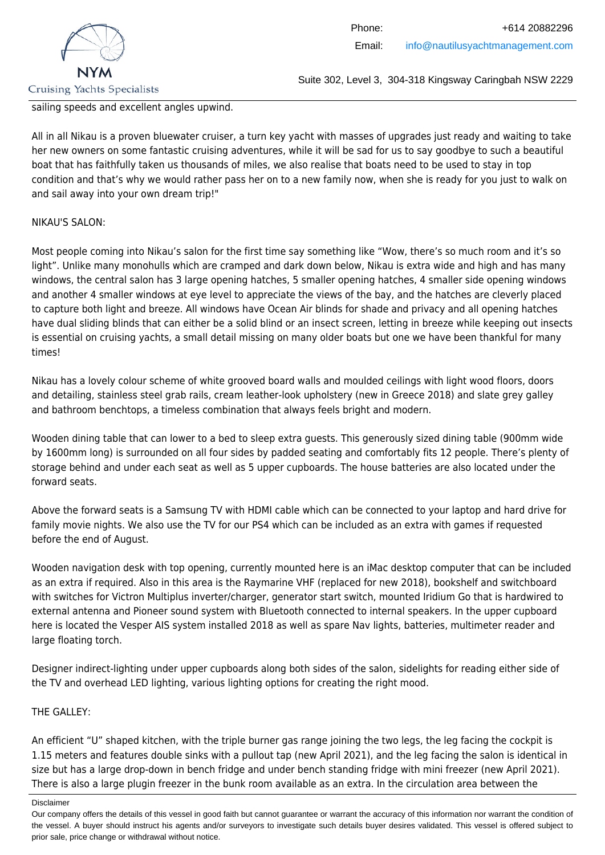

sailing speeds and excellent angles upwind.

All in all Nikau is a proven bluewater cruiser, a turn key yacht with masses of upgrades just ready and waiting to take her new owners on some fantastic cruising adventures, while it will be sad for us to say goodbye to such a beautiful boat that has faithfully taken us thousands of miles, we also realise that boats need to be used to stay in top condition and that's why we would rather pass her on to a new family now, when she is ready for you just to walk on and sail away into your own dream trip!"

#### NIKAU'S SALON:

Most people coming into Nikau's salon for the first time say something like "Wow, there's so much room and it's so light". Unlike many monohulls which are cramped and dark down below, Nikau is extra wide and high and has many windows, the central salon has 3 large opening hatches, 5 smaller opening hatches, 4 smaller side opening windows and another 4 smaller windows at eye level to appreciate the views of the bay, and the hatches are cleverly placed to capture both light and breeze. All windows have Ocean Air blinds for shade and privacy and all opening hatches have dual sliding blinds that can either be a solid blind or an insect screen, letting in breeze while keeping out insects is essential on cruising yachts, a small detail missing on many older boats but one we have been thankful for many times!

Nikau has a lovely colour scheme of white grooved board walls and moulded ceilings with light wood floors, doors and detailing, stainless steel grab rails, cream leather-look upholstery (new in Greece 2018) and slate grey galley and bathroom benchtops, a timeless combination that always feels bright and modern.

Wooden dining table that can lower to a bed to sleep extra guests. This generously sized dining table (900mm wide by 1600mm long) is surrounded on all four sides by padded seating and comfortably fits 12 people. There's plenty of storage behind and under each seat as well as 5 upper cupboards. The house batteries are also located under the forward seats.

Above the forward seats is a Samsung TV with HDMI cable which can be connected to your laptop and hard drive for family movie nights. We also use the TV for our PS4 which can be included as an extra with games if requested before the end of August.

Wooden navigation desk with top opening, currently mounted here is an iMac desktop computer that can be included as an extra if required. Also in this area is the Raymarine VHF (replaced for new 2018), bookshelf and switchboard with switches for Victron Multiplus inverter/charger, generator start switch, mounted Iridium Go that is hardwired to external antenna and Pioneer sound system with Bluetooth connected to internal speakers. In the upper cupboard here is located the Vesper AIS system installed 2018 as well as spare Nav lights, batteries, multimeter reader and large floating torch.

Designer indirect-lighting under upper cupboards along both sides of the salon, sidelights for reading either side of the TV and overhead LED lighting, various lighting options for creating the right mood.

#### THE GALLEY:

An efficient "U" shaped kitchen, with the triple burner gas range joining the two legs, the leg facing the cockpit is 1.15 meters and features double sinks with a pullout tap (new April 2021), and the leg facing the salon is identical in size but has a large drop-down in bench fridge and under bench standing fridge with mini freezer (new April 2021). There is also a large plugin freezer in the bunk room available as an extra. In the circulation area between the

Disclaimer

Our company offers the details of this vessel in good faith but cannot guarantee or warrant the accuracy of this information nor warrant the condition of the vessel. A buyer should instruct his agents and/or surveyors to investigate such details buyer desires validated. This vessel is offered subject to prior sale, price change or withdrawal without notice.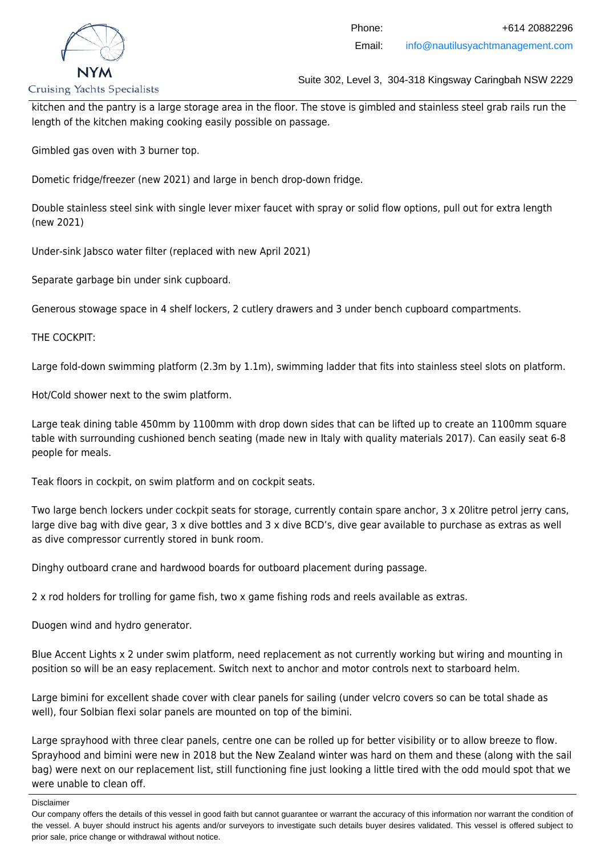

**Cruising Yachts Specialists** 

Suite 302, Level 3, 304-318 Kingsway Caringbah NSW 2229

kitchen and the pantry is a large storage area in the floor. The stove is gimbled and stainless steel grab rails run the length of the kitchen making cooking easily possible on passage.

Gimbled gas oven with 3 burner top.

Dometic fridge/freezer (new 2021) and large in bench drop-down fridge.

Double stainless steel sink with single lever mixer faucet with spray or solid flow options, pull out for extra length (new 2021)

Under-sink Jabsco water filter (replaced with new April 2021)

Separate garbage bin under sink cupboard.

Generous stowage space in 4 shelf lockers, 2 cutlery drawers and 3 under bench cupboard compartments.

THE COCKPIT:

Large fold-down swimming platform (2.3m by 1.1m), swimming ladder that fits into stainless steel slots on platform.

Hot/Cold shower next to the swim platform.

Large teak dining table 450mm by 1100mm with drop down sides that can be lifted up to create an 1100mm square table with surrounding cushioned bench seating (made new in Italy with quality materials 2017). Can easily seat 6-8 people for meals.

Teak floors in cockpit, on swim platform and on cockpit seats.

Two large bench lockers under cockpit seats for storage, currently contain spare anchor, 3 x 20litre petrol jerry cans, large dive bag with dive gear, 3 x dive bottles and 3 x dive BCD's, dive gear available to purchase as extras as well as dive compressor currently stored in bunk room.

Dinghy outboard crane and hardwood boards for outboard placement during passage.

2 x rod holders for trolling for game fish, two x game fishing rods and reels available as extras.

Duogen wind and hydro generator.

Blue Accent Lights x 2 under swim platform, need replacement as not currently working but wiring and mounting in position so will be an easy replacement. Switch next to anchor and motor controls next to starboard helm.

Large bimini for excellent shade cover with clear panels for sailing (under velcro covers so can be total shade as well), four Solbian flexi solar panels are mounted on top of the bimini.

Large sprayhood with three clear panels, centre one can be rolled up for better visibility or to allow breeze to flow. Sprayhood and bimini were new in 2018 but the New Zealand winter was hard on them and these (along with the sail bag) were next on our replacement list, still functioning fine just looking a little tired with the odd mould spot that we were unable to clean off.

Our company offers the details of this vessel in good faith but cannot guarantee or warrant the accuracy of this information nor warrant the condition of the vessel. A buyer should instruct his agents and/or surveyors to investigate such details buyer desires validated. This vessel is offered subject to prior sale, price change or withdrawal without notice.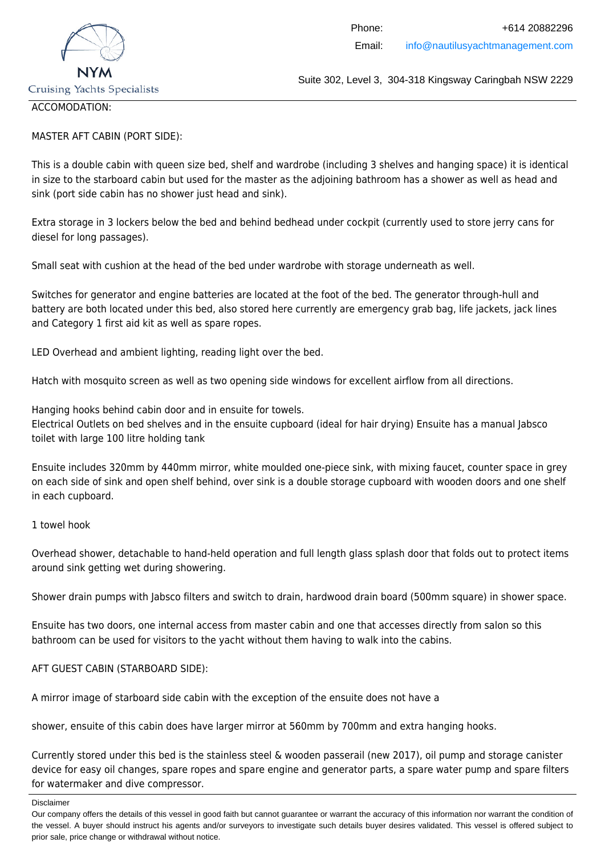

#### ACCOMODATION:

### MASTER AFT CABIN (PORT SIDE):

This is a double cabin with queen size bed, shelf and wardrobe (including 3 shelves and hanging space) it is identical in size to the starboard cabin but used for the master as the adjoining bathroom has a shower as well as head and sink (port side cabin has no shower just head and sink).

Extra storage in 3 lockers below the bed and behind bedhead under cockpit (currently used to store jerry cans for diesel for long passages).

Small seat with cushion at the head of the bed under wardrobe with storage underneath as well.

Switches for generator and engine batteries are located at the foot of the bed. The generator through-hull and battery are both located under this bed, also stored here currently are emergency grab bag, life jackets, jack lines and Category 1 first aid kit as well as spare ropes.

LED Overhead and ambient lighting, reading light over the bed.

Hatch with mosquito screen as well as two opening side windows for excellent airflow from all directions.

Hanging hooks behind cabin door and in ensuite for towels. Electrical Outlets on bed shelves and in the ensuite cupboard (ideal for hair drying) Ensuite has a manual Jabsco toilet with large 100 litre holding tank

Ensuite includes 320mm by 440mm mirror, white moulded one-piece sink, with mixing faucet, counter space in grey on each side of sink and open shelf behind, over sink is a double storage cupboard with wooden doors and one shelf in each cupboard.

1 towel hook

Overhead shower, detachable to hand-held operation and full length glass splash door that folds out to protect items around sink getting wet during showering.

Shower drain pumps with Jabsco filters and switch to drain, hardwood drain board (500mm square) in shower space.

Ensuite has two doors, one internal access from master cabin and one that accesses directly from salon so this bathroom can be used for visitors to the yacht without them having to walk into the cabins.

### AFT GUEST CABIN (STARBOARD SIDE):

A mirror image of starboard side cabin with the exception of the ensuite does not have a

shower, ensuite of this cabin does have larger mirror at 560mm by 700mm and extra hanging hooks.

Currently stored under this bed is the stainless steel & wooden passerail (new 2017), oil pump and storage canister device for easy oil changes, spare ropes and spare engine and generator parts, a spare water pump and spare filters for watermaker and dive compressor.

Our company offers the details of this vessel in good faith but cannot guarantee or warrant the accuracy of this information nor warrant the condition of the vessel. A buyer should instruct his agents and/or surveyors to investigate such details buyer desires validated. This vessel is offered subject to prior sale, price change or withdrawal without notice.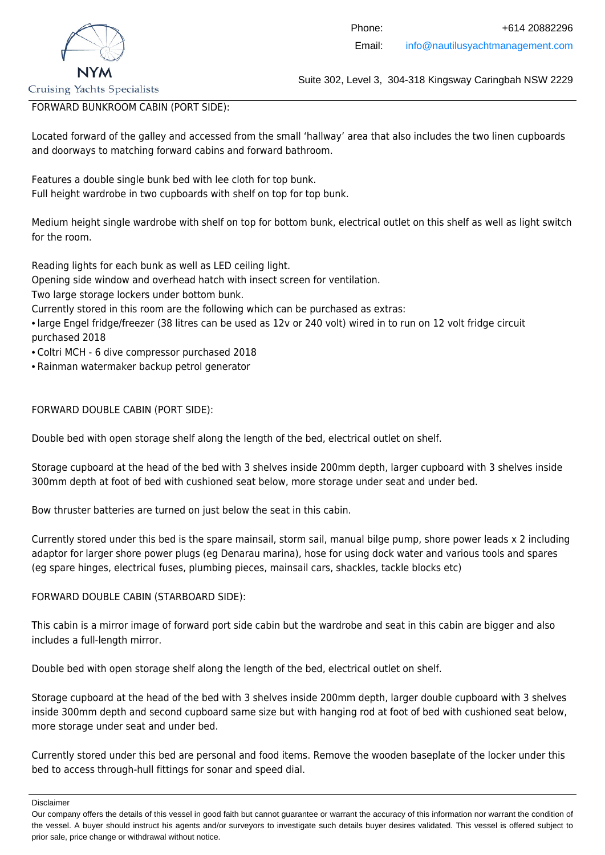

## FORWARD BUNKROOM CABIN (PORT SIDE):

Located forward of the galley and accessed from the small 'hallway' area that also includes the two linen cupboards and doorways to matching forward cabins and forward bathroom.

Features a double single bunk bed with lee cloth for top bunk. Full height wardrobe in two cupboards with shelf on top for top bunk.

Medium height single wardrobe with shelf on top for bottom bunk, electrical outlet on this shelf as well as light switch for the room.

Reading lights for each bunk as well as LED ceiling light.

Opening side window and overhead hatch with insect screen for ventilation.

Two large storage lockers under bottom bunk.

Currently stored in this room are the following which can be purchased as extras:

- large Engel fridge/freezer (38 litres can be used as 12v or 240 volt) wired in to run on 12 volt fridge circuit purchased 2018
- Coltri MCH 6 dive compressor purchased 2018
- Rainman watermaker backup petrol generator

### FORWARD DOUBLE CABIN (PORT SIDE):

Double bed with open storage shelf along the length of the bed, electrical outlet on shelf.

Storage cupboard at the head of the bed with 3 shelves inside 200mm depth, larger cupboard with 3 shelves inside 300mm depth at foot of bed with cushioned seat below, more storage under seat and under bed.

Bow thruster batteries are turned on just below the seat in this cabin.

Currently stored under this bed is the spare mainsail, storm sail, manual bilge pump, shore power leads x 2 including adaptor for larger shore power plugs (eg Denarau marina), hose for using dock water and various tools and spares (eg spare hinges, electrical fuses, plumbing pieces, mainsail cars, shackles, tackle blocks etc)

#### FORWARD DOUBLE CABIN (STARBOARD SIDE):

This cabin is a mirror image of forward port side cabin but the wardrobe and seat in this cabin are bigger and also includes a full-length mirror.

Double bed with open storage shelf along the length of the bed, electrical outlet on shelf.

Storage cupboard at the head of the bed with 3 shelves inside 200mm depth, larger double cupboard with 3 shelves inside 300mm depth and second cupboard same size but with hanging rod at foot of bed with cushioned seat below, more storage under seat and under bed.

Currently stored under this bed are personal and food items. Remove the wooden baseplate of the locker under this bed to access through-hull fittings for sonar and speed dial.

Our company offers the details of this vessel in good faith but cannot guarantee or warrant the accuracy of this information nor warrant the condition of the vessel. A buyer should instruct his agents and/or surveyors to investigate such details buyer desires validated. This vessel is offered subject to prior sale, price change or withdrawal without notice.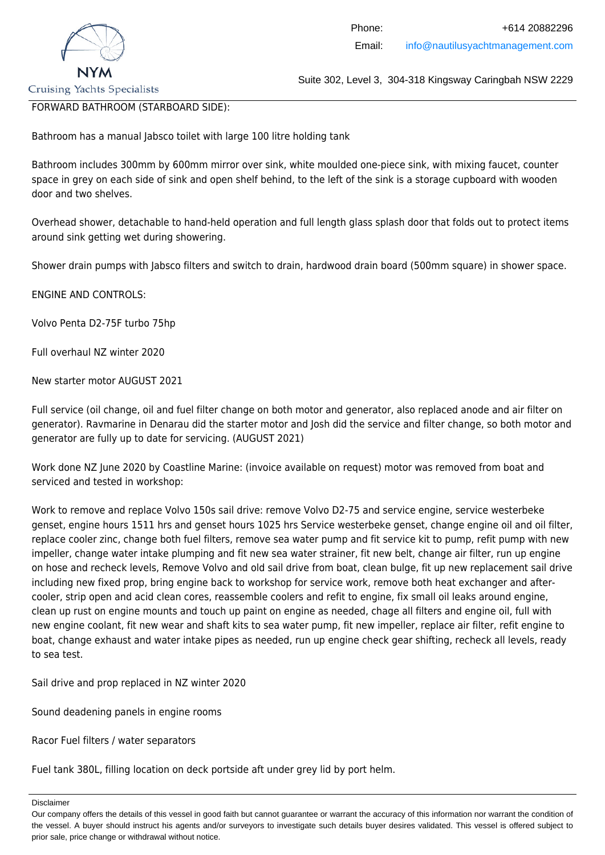

FORWARD BATHROOM (STARBOARD SIDE):

Bathroom has a manual Jabsco toilet with large 100 litre holding tank

Bathroom includes 300mm by 600mm mirror over sink, white moulded one-piece sink, with mixing faucet, counter space in grey on each side of sink and open shelf behind, to the left of the sink is a storage cupboard with wooden door and two shelves.

Overhead shower, detachable to hand-held operation and full length glass splash door that folds out to protect items around sink getting wet during showering.

Shower drain pumps with Jabsco filters and switch to drain, hardwood drain board (500mm square) in shower space.

ENGINE AND CONTROLS:

Volvo Penta D2-75F turbo 75hp

Full overhaul NZ winter 2020

New starter motor AUGUST 2021

Full service (oil change, oil and fuel filter change on both motor and generator, also replaced anode and air filter on generator). Ravmarine in Denarau did the starter motor and Josh did the service and filter change, so both motor and generator are fully up to date for servicing. (AUGUST 2021)

Work done NZ June 2020 by Coastline Marine: (invoice available on request) motor was removed from boat and serviced and tested in workshop:

Work to remove and replace Volvo 150s sail drive: remove Volvo D2-75 and service engine, service westerbeke genset, engine hours 1511 hrs and genset hours 1025 hrs Service westerbeke genset, change engine oil and oil filter, replace cooler zinc, change both fuel filters, remove sea water pump and fit service kit to pump, refit pump with new impeller, change water intake plumping and fit new sea water strainer, fit new belt, change air filter, run up engine on hose and recheck levels, Remove Volvo and old sail drive from boat, clean bulge, fit up new replacement sail drive including new fixed prop, bring engine back to workshop for service work, remove both heat exchanger and aftercooler, strip open and acid clean cores, reassemble coolers and refit to engine, fix small oil leaks around engine, clean up rust on engine mounts and touch up paint on engine as needed, chage all filters and engine oil, full with new engine coolant, fit new wear and shaft kits to sea water pump, fit new impeller, replace air filter, refit engine to boat, change exhaust and water intake pipes as needed, run up engine check gear shifting, recheck all levels, ready to sea test.

Sail drive and prop replaced in NZ winter 2020

Sound deadening panels in engine rooms

Racor Fuel filters / water separators

Fuel tank 380L, filling location on deck portside aft under grey lid by port helm.

Disclaimer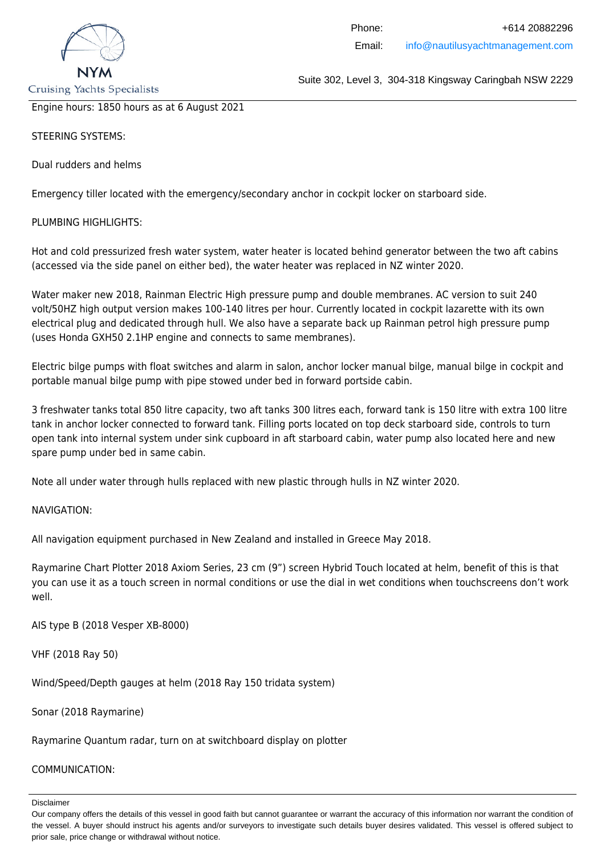

Engine hours: 1850 hours as at 6 August 2021

STEERING SYSTEMS:

Dual rudders and helms

Emergency tiller located with the emergency/secondary anchor in cockpit locker on starboard side.

PLUMBING HIGHLIGHTS:

Hot and cold pressurized fresh water system, water heater is located behind generator between the two aft cabins (accessed via the side panel on either bed), the water heater was replaced in NZ winter 2020.

Water maker new 2018, Rainman Electric High pressure pump and double membranes. AC version to suit 240 volt/50HZ high output version makes 100-140 litres per hour. Currently located in cockpit lazarette with its own electrical plug and dedicated through hull. We also have a separate back up Rainman petrol high pressure pump (uses Honda GXH50 2.1HP engine and connects to same membranes).

Electric bilge pumps with float switches and alarm in salon, anchor locker manual bilge, manual bilge in cockpit and portable manual bilge pump with pipe stowed under bed in forward portside cabin.

3 freshwater tanks total 850 litre capacity, two aft tanks 300 litres each, forward tank is 150 litre with extra 100 litre tank in anchor locker connected to forward tank. Filling ports located on top deck starboard side, controls to turn open tank into internal system under sink cupboard in aft starboard cabin, water pump also located here and new spare pump under bed in same cabin.

Note all under water through hulls replaced with new plastic through hulls in NZ winter 2020.

NAVIGATION:

All navigation equipment purchased in New Zealand and installed in Greece May 2018.

Raymarine Chart Plotter 2018 Axiom Series, 23 cm (9") screen Hybrid Touch located at helm, benefit of this is that you can use it as a touch screen in normal conditions or use the dial in wet conditions when touchscreens don't work well.

AIS type B (2018 Vesper XB-8000)

VHF (2018 Ray 50)

Wind/Speed/Depth gauges at helm (2018 Ray 150 tridata system)

Sonar (2018 Raymarine)

Raymarine Quantum radar, turn on at switchboard display on plotter

#### COMMUNICATION:

Our company offers the details of this vessel in good faith but cannot guarantee or warrant the accuracy of this information nor warrant the condition of the vessel. A buyer should instruct his agents and/or surveyors to investigate such details buyer desires validated. This vessel is offered subject to prior sale, price change or withdrawal without notice.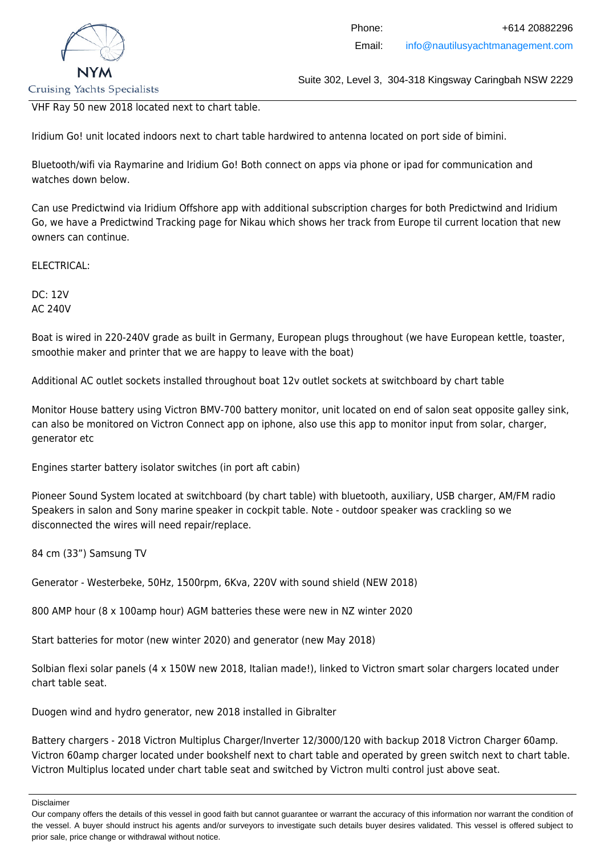

VHF Ray 50 new 2018 located next to chart table.

Iridium Go! unit located indoors next to chart table hardwired to antenna located on port side of bimini.

Bluetooth/wifi via Raymarine and Iridium Go! Both connect on apps via phone or ipad for communication and watches down below.

Can use Predictwind via Iridium Offshore app with additional subscription charges for both Predictwind and Iridium Go, we have a Predictwind Tracking page for Nikau which shows her track from Europe til current location that new owners can continue.

ELECTRICAL:

DC: 12V AC 240V

Boat is wired in 220-240V grade as built in Germany, European plugs throughout (we have European kettle, toaster, smoothie maker and printer that we are happy to leave with the boat)

Additional AC outlet sockets installed throughout boat 12v outlet sockets at switchboard by chart table

Monitor House battery using Victron BMV-700 battery monitor, unit located on end of salon seat opposite galley sink, can also be monitored on Victron Connect app on iphone, also use this app to monitor input from solar, charger, generator etc

Engines starter battery isolator switches (in port aft cabin)

Pioneer Sound System located at switchboard (by chart table) with bluetooth, auxiliary, USB charger, AM/FM radio Speakers in salon and Sony marine speaker in cockpit table. Note - outdoor speaker was crackling so we disconnected the wires will need repair/replace.

84 cm (33") Samsung TV

Generator - Westerbeke, 50Hz, 1500rpm, 6Kva, 220V with sound shield (NEW 2018)

800 AMP hour (8 x 100amp hour) AGM batteries these were new in NZ winter 2020

Start batteries for motor (new winter 2020) and generator (new May 2018)

Solbian flexi solar panels (4 x 150W new 2018, Italian made!), linked to Victron smart solar chargers located under chart table seat.

Duogen wind and hydro generator, new 2018 installed in Gibralter

Battery chargers - 2018 Victron Multiplus Charger/Inverter 12/3000/120 with backup 2018 Victron Charger 60amp. Victron 60amp charger located under bookshelf next to chart table and operated by green switch next to chart table. Victron Multiplus located under chart table seat and switched by Victron multi control just above seat.

Our company offers the details of this vessel in good faith but cannot guarantee or warrant the accuracy of this information nor warrant the condition of the vessel. A buyer should instruct his agents and/or surveyors to investigate such details buyer desires validated. This vessel is offered subject to prior sale, price change or withdrawal without notice.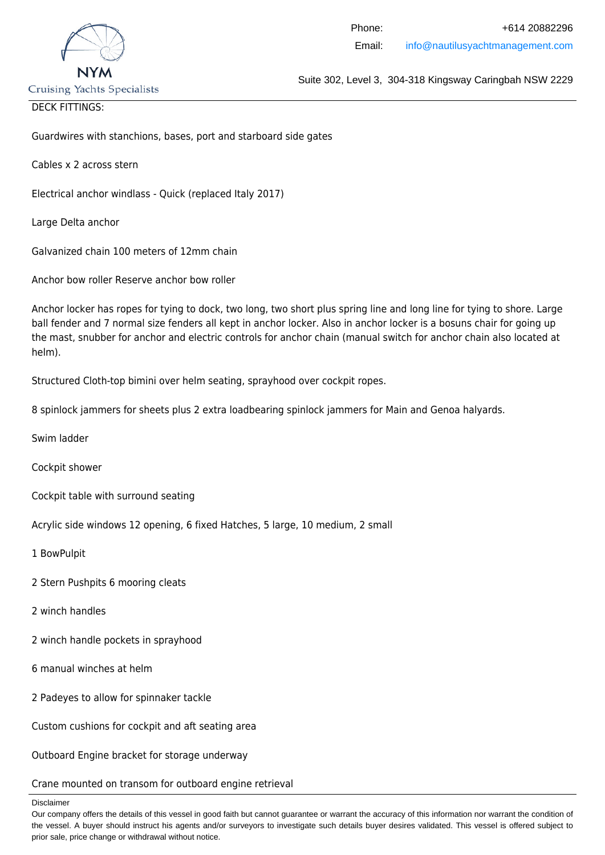

### DECK FITTINGS:

Guardwires with stanchions, bases, port and starboard side gates

Cables x 2 across stern

Electrical anchor windlass - Quick (replaced Italy 2017)

Large Delta anchor

Galvanized chain 100 meters of 12mm chain

Anchor bow roller Reserve anchor bow roller

Anchor locker has ropes for tying to dock, two long, two short plus spring line and long line for tying to shore. Large ball fender and 7 normal size fenders all kept in anchor locker. Also in anchor locker is a bosuns chair for going up the mast, snubber for anchor and electric controls for anchor chain (manual switch for anchor chain also located at helm).

Structured Cloth-top bimini over helm seating, sprayhood over cockpit ropes.

8 spinlock jammers for sheets plus 2 extra loadbearing spinlock jammers for Main and Genoa halyards.

Swim ladder

Cockpit shower

Cockpit table with surround seating

Acrylic side windows 12 opening, 6 fixed Hatches, 5 large, 10 medium, 2 small

1 BowPulpit

- 2 Stern Pushpits 6 mooring cleats
- 2 winch handles
- 2 winch handle pockets in sprayhood
- 6 manual winches at helm
- 2 Padeyes to allow for spinnaker tackle

Custom cushions for cockpit and aft seating area

Outboard Engine bracket for storage underway

Crane mounted on transom for outboard engine retrieval

#### Disclaimer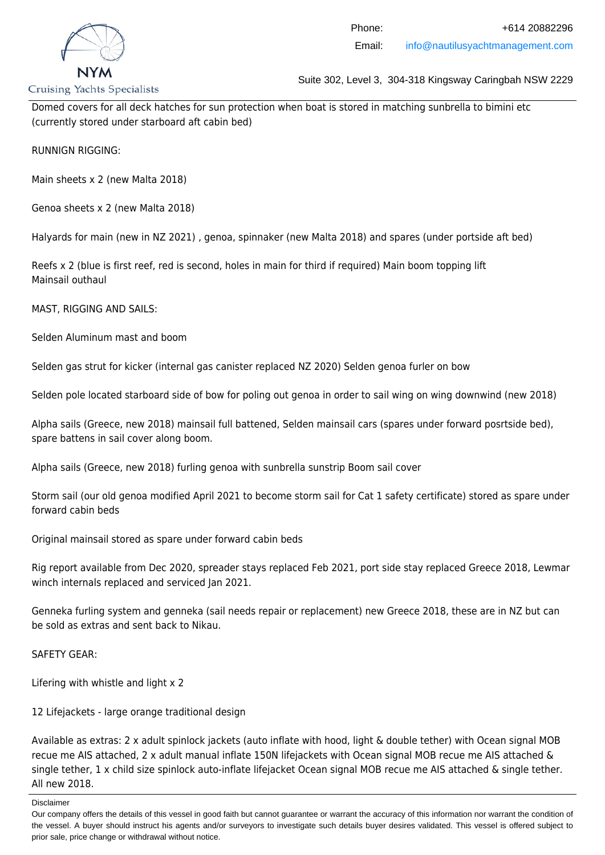

## Phone: +614 20882296 Email: info@nautilusyachtmanagement.com

**Cruising Yachts Specialists** 

Suite 302, Level 3, 304-318 Kingsway Caringbah NSW 2229

Domed covers for all deck hatches for sun protection when boat is stored in matching sunbrella to bimini etc (currently stored under starboard aft cabin bed)

RUNNIGN RIGGING:

Main sheets x 2 (new Malta 2018)

Genoa sheets x 2 (new Malta 2018)

Halyards for main (new in NZ 2021) , genoa, spinnaker (new Malta 2018) and spares (under portside aft bed)

Reefs x 2 (blue is first reef, red is second, holes in main for third if required) Main boom topping lift Mainsail outhaul

MAST, RIGGING AND SAILS:

Selden Aluminum mast and boom

Selden gas strut for kicker (internal gas canister replaced NZ 2020) Selden genoa furler on bow

Selden pole located starboard side of bow for poling out genoa in order to sail wing on wing downwind (new 2018)

Alpha sails (Greece, new 2018) mainsail full battened, Selden mainsail cars (spares under forward posrtside bed), spare battens in sail cover along boom.

Alpha sails (Greece, new 2018) furling genoa with sunbrella sunstrip Boom sail cover

Storm sail (our old genoa modified April 2021 to become storm sail for Cat 1 safety certificate) stored as spare under forward cabin beds

Original mainsail stored as spare under forward cabin beds

Rig report available from Dec 2020, spreader stays replaced Feb 2021, port side stay replaced Greece 2018, Lewmar winch internals replaced and serviced Jan 2021.

Genneka furling system and genneka (sail needs repair or replacement) new Greece 2018, these are in NZ but can be sold as extras and sent back to Nikau.

SAFETY GEAR:

Lifering with whistle and light x 2

12 Lifejackets - large orange traditional design

Available as extras: 2 x adult spinlock jackets (auto inflate with hood, light & double tether) with Ocean signal MOB recue me AIS attached, 2 x adult manual inflate 150N lifejackets with Ocean signal MOB recue me AIS attached & single tether, 1 x child size spinlock auto-inflate lifejacket Ocean signal MOB recue me AIS attached & single tether. All new 2018.

Disclaimer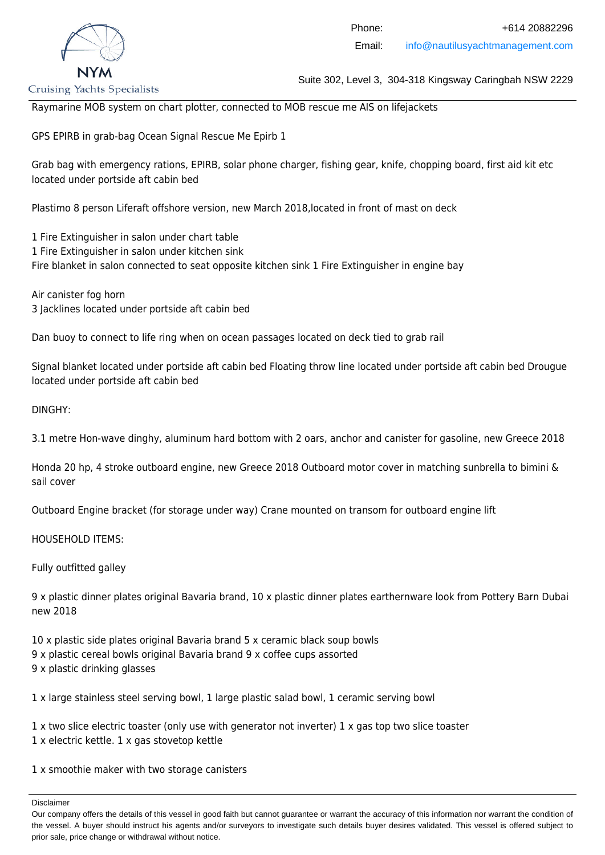

Raymarine MOB system on chart plotter, connected to MOB rescue me AIS on lifejackets

GPS EPIRB in grab-bag Ocean Signal Rescue Me Epirb 1

Grab bag with emergency rations, EPIRB, solar phone charger, fishing gear, knife, chopping board, first aid kit etc located under portside aft cabin bed

Plastimo 8 person Liferaft offshore version, new March 2018,located in front of mast on deck

1 Fire Extinguisher in salon under chart table 1 Fire Extinguisher in salon under kitchen sink Fire blanket in salon connected to seat opposite kitchen sink 1 Fire Extinguisher in engine bay

Air canister fog horn 3 Jacklines located under portside aft cabin bed

Dan buoy to connect to life ring when on ocean passages located on deck tied to grab rail

Signal blanket located under portside aft cabin bed Floating throw line located under portside aft cabin bed Drougue located under portside aft cabin bed

DINGHY:

3.1 metre Hon-wave dinghy, aluminum hard bottom with 2 oars, anchor and canister for gasoline, new Greece 2018

Honda 20 hp, 4 stroke outboard engine, new Greece 2018 Outboard motor cover in matching sunbrella to bimini & sail cover

Outboard Engine bracket (for storage under way) Crane mounted on transom for outboard engine lift

HOUSEHOLD ITEMS:

Fully outfitted galley

9 x plastic dinner plates original Bavaria brand, 10 x plastic dinner plates earthernware look from Pottery Barn Dubai new 2018

10 x plastic side plates original Bavaria brand 5 x ceramic black soup bowls 9 x plastic cereal bowls original Bavaria brand 9 x coffee cups assorted 9 x plastic drinking glasses

1 x large stainless steel serving bowl, 1 large plastic salad bowl, 1 ceramic serving bowl

1 x two slice electric toaster (only use with generator not inverter) 1 x gas top two slice toaster 1 x electric kettle. 1 x gas stovetop kettle

1 x smoothie maker with two storage canisters

Our company offers the details of this vessel in good faith but cannot guarantee or warrant the accuracy of this information nor warrant the condition of the vessel. A buyer should instruct his agents and/or surveyors to investigate such details buyer desires validated. This vessel is offered subject to prior sale, price change or withdrawal without notice.